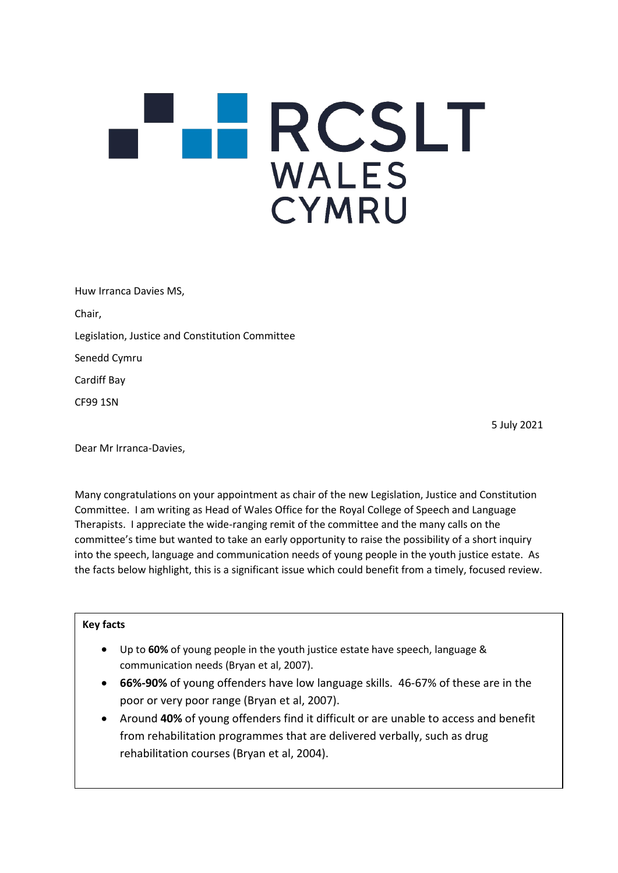## **HRCSLT WALES** CYMRU

Huw Irranca Davies MS, Chair, Legislation, Justice and Constitution Committee Senedd Cymru Cardiff Bay CF99 1SN

5 July 2021

Dear Mr Irranca-Davies,

Many congratulations on your appointment as chair of the new Legislation, Justice and Constitution Committee. I am writing as Head of Wales Office for the Royal College of Speech and Language Therapists. I appreciate the wide-ranging remit of the committee and the many calls on the committee's time but wanted to take an early opportunity to raise the possibility of a short inquiry into the speech, language and communication needs of young people in the youth justice estate. As the facts below highlight, this is a significant issue which could benefit from a timely, focused review.

## **Key facts**

- Up to **60%** of young people in the youth justice estate have speech, language & communication needs (Bryan et al, 2007).
- **66%-90%** of young offenders have low language skills. 46-67% of these are in the poor or very poor range (Bryan et al, 2007).
- Around **40%** of young offenders find it difficult or are unable to access and benefit from rehabilitation programmes that are delivered verbally, such as drug rehabilitation courses (Bryan et al, 2004).